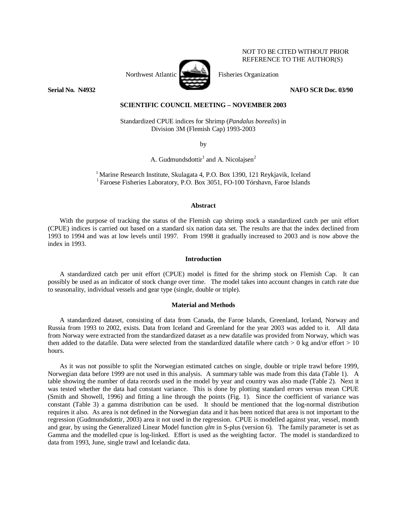

NOT TO BE CITED WITHOUT PRIOR REFERENCE TO THE AUTHOR(S)

# **SCIENTIFIC COUNCIL MEETING – NOVEMBER 2003**

Standardized CPUE indices for Shrimp (*Pandalus borealis*) in Division 3M (Flemish Cap) 1993-2003

by

A. Gudmundsdottir<sup>1</sup> and A. Nicolajsen<sup>2</sup>

<sup>1</sup> Marine Research Institute, Skulagata 4, P.O. Box 1390, 121 Reykjavik, Iceland <sup>1</sup> Faroese Fisheries Laboratory, P.O. Box 3051, FO-100 Tórshavn, Faroe Islands

### **Abstract**

 With the purpose of tracking the status of the Flemish cap shrimp stock a standardized catch per unit effort (CPUE) indices is carried out based on a standard six nation data set. The results are that the index declined from 1993 to 1994 and was at low levels until 1997. From 1998 it gradually increased to 2003 and is now above the index in 1993.

# **Introduction**

 A standardized catch per unit effort (CPUE) model is fitted for the shrimp stock on Flemish Cap. It can possibly be used as an indicator of stock change over time. The model takes into account changes in catch rate due to seasonality, individual vessels and gear type (single, double or triple).

### **Material and Methods**

 A standardized dataset, consisting of data from Canada, the Faroe Islands, Greenland, Iceland, Norway and Russia from 1993 to 2002, exists. Data from Iceland and Greenland for the year 2003 was added to it. All data from Norway were extracted from the standardized dataset as a new datafile was provided from Norway, which was then added to the datafile. Data were selected from the standardized datafile where catch  $> 0$  kg and/or effort  $> 10$ hours.

As it was not possible to split the Norwegian estimated catches on single, double or triple trawl before 1999, Norwegian data before 1999 are not used in this analysis. A summary table was made from this data (Table 1). A table showing the number of data records used in the model by year and country was also made (Table 2). Next it was tested whether the data had constant variance. This is done by plotting standard errors versus mean CPUE (Smith and Showell, 1996) and fitting a line through the points (Fig. 1). Since the coefficient of variance was constant (Table 3) a gamma distribution can be used. It should be mentioned that the log-normal distribution requires it also. As area is not defined in the Norwegian data and it has been noticed that area is not important to the regression (Gudmundsdottir, 2003) area it not used in the regression. CPUE is modelled against year, vessel, month and gear, by using the Generalized Linear Model function *glm* in S-plus (version 6). The family parameter is set as Gamma and the modelled cpue is log-linked. Effort is used as the weighting factor. The model is standardized to data from 1993, June, single trawl and Icelandic data.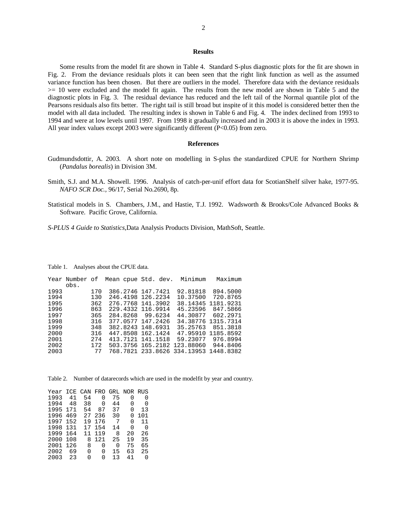## **Results**

 Some results from the model fit are shown in Table 4. Standard S-plus diagnostic plots for the fit are shown in Fig. 2. From the deviance residuals plots it can been seen that the right link function as well as the assumed variance function has been chosen. But there are outliers in the model. Therefore data with the deviance residuals >= 10 were excluded and the model fit again. The results from the new model are shown in Table 5 and the diagnostic plots in Fig. 3. The residual deviance has reduced and the left tail of the Normal quantile plot of the Pearsons residuals also fits better. The right tail is still broad but inspite of it this model is considered better then the model with all data included. The resulting index is shown in Table 6 and Fig. 4. The index declined from 1993 to 1994 and were at low levels until 1997. From 1998 it gradually increased and in 2003 it is above the index in 1993. All year index values except 2003 were significantly different (P<0.05) from zero.

#### **References**

- Gudmundsdottir, A. 2003. A short note on modelling in S-plus the standardized CPUE for Northern Shrimp (*Pandalus borealis*) in Division 3M.
- Smith, S.J. and M.A. Showell. 1996. Analysis of catch-per-unif effort data for ScotianShelf silver hake, 1977-95. *NAFO SCR Doc.,* 96/17, Serial No.2690, 8p.
- Statistical models in S. Chambers, J.M., and Hastie, T.J. 1992. Wadsworth & Brooks/Cole Advanced Books & Software. Pacific Grove, California.

*S-PLUS 4 Guide to Statistics,*Data Analysis Products Division, MathSoft, Seattle.

Table 1.Analyses about the CPUE data.

|      | Year Number of |     | Mean cpue Std. dev. |                   | Minimum                     | Maximum   |
|------|----------------|-----|---------------------|-------------------|-----------------------------|-----------|
|      | obs.           |     |                     |                   |                             |           |
| 1993 |                | 170 | 386.2746 147.7421   |                   | 92.81818                    | 894.5000  |
| 1994 |                | 130 |                     | 246.4198 126.2234 | 10.37500                    | 720.8765  |
| 1995 |                | 362 |                     | 276.7768 141.3902 | 38.14345                    | 1181.9231 |
| 1996 |                | 863 |                     | 229.4332 116.9914 | 45.23596                    | 847.5866  |
| 1997 |                | 365 |                     | 284.8268 99.6234  | 44.30877                    | 602.2971  |
| 1998 |                | 316 |                     | 377.0577 147.2426 | 34.38776                    | 1315.7314 |
| 1999 |                | 348 | 382.8243 148.6931   |                   | 35.25763                    | 851.3818  |
| 2000 |                | 316 |                     | 447.8508 162.1424 | 47.95910                    | 1185.8592 |
| 2001 |                | 274 |                     | 413.7121 141.1518 | 59.23077                    | 976.8994  |
| 2002 |                | 172 |                     |                   | 503.3756 165.2182 123.88060 | 944.8406  |
| 2003 |                | 77  |                     |                   | 768.7821 233.8626 334.13953 | 1448.8382 |

Table 2.Number of datarecords which are used in the modelfit by year and country.

| Year | ICE | CAN | FRO.         | GRL             | NOR RUS |              |  |
|------|-----|-----|--------------|-----------------|---------|--------------|--|
| 1993 | 41  | 54  | 0            | 75              | O       | 0            |  |
| 1994 | 48  | 38  | <sup>0</sup> | 44              | U       | O            |  |
| 1995 | 171 | 54  | 87           | 37              | 0       | 13           |  |
| 1996 | 469 | 27  | 236          | 30              | U       | 101          |  |
| 1997 | 152 | 19  | 176          | $7\phantom{.0}$ | O       | 11           |  |
| 1998 | 131 | 17  | 154          | 14              | U       | O            |  |
| 1999 | 164 | 11  | 119          | 8               | 20      | 26           |  |
| 2000 | 108 | 8   | 121          | 25              | 19      | 35           |  |
| 2001 | 126 | 8   | 0            | 0               | 75      | 65           |  |
| 2002 | 69  | O   | O            | 15              | 63      | 25           |  |
| 2003 | 23  | U   | N            | 13              | 41      | <sup>0</sup> |  |
|      |     |     |              |                 |         |              |  |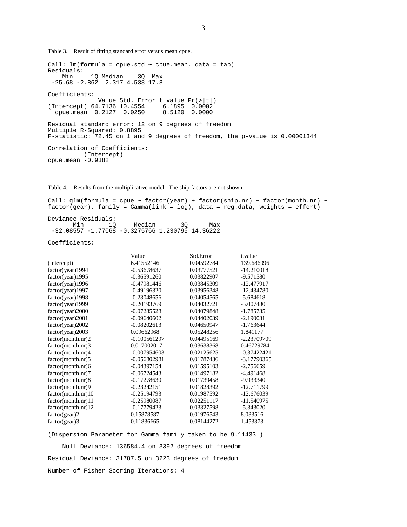Table 3. Result of fitting standard error versus mean cpue.

```
Call: lm(formula = cque.std ~ ~ cque.macan, data = tab)Residuals: 
 Min 1Q Median 3Q Max 
 -25.68 -2.862 2.317 4.538 17.8 
Coefficients: 
              Value Std. Error t value Pr(>|t|) 
(Intercept) 64.7136 10.4554 6.1895 0.0002 
 cpue.mean 0.2127 0.0250 8.5120 0.0000 
Residual standard error: 12 on 9 degrees of freedom 
Multiple R-Squared: 0.8895 
F-statistic: 72.45 on 1 and 9 degrees of freedom, the p-value is 0.00001344 
Correlation of Coefficients: 
          (Intercept) 
cpue.mean -0.9382
```
Table 4. Results from the multiplicative model. The ship factors are not shown.

Call:  $glm(formula = cque ~ factor(year) + factor(ship.nr) + factor(month.nr) +$ factor(gear), family = Gamma(link = log), data = reg.data, weights = effort)

Deviance Residuals: Min 1Q Median 3Q Max -32.08557 -1.77068 -0.3275766 1.230795 14.36222

Coefficients:

|                    | Value          | Std.Error  | t. value      |
|--------------------|----------------|------------|---------------|
| (Intercept)        | 6.41552146     | 0.04592784 | 139.686996    |
| factor(year)1994   | $-0.53678637$  | 0.03777521 | $-14.210018$  |
| factor(year)1995   | $-0.36591260$  | 0.03822907 | $-9.571580$   |
| factor(year)1996   | $-0.47981446$  | 0.03845309 | $-12.477917$  |
| factor(year)1997   | $-0.49196320$  | 0.03956348 | $-12.434780$  |
| factor(year)1998   | $-0.23048656$  | 0.04054565 | $-5.684618$   |
| factor(year)1999   | $-0.20193769$  | 0.04032721 | $-5.007480$   |
| factor(year)2000   | $-0.07285528$  | 0.04079848 | $-1.785735$   |
| factor(year)2001   | $-0.09640602$  | 0.04402039 | $-2.190031$   |
| factor(year)2002   | $-0.08202613$  | 0.04650947 | $-1.763644$   |
| factor(year)2003   | 0.09662968     | 0.05248256 | 1.841177      |
| factor(month.nr)2  | $-0.100561297$ | 0.04495169 | -2.23709709   |
| factor(month.nr)3  | 0.017002017    | 0.03638368 | 0.46729784    |
| factor(month.nr)4  | $-0.007954603$ | 0.02125625 | $-0.37422421$ |
| factor(month.nr)5  | $-0.056802981$ | 0.01787436 | -3.17790365   |
| factor(month.nr)6  | $-0.04397154$  | 0.01595103 | $-2.756659$   |
| factor(month.nr)7  | $-0.06724543$  | 0.01497182 | $-4.491468$   |
| factor(month.nr)8  | $-0.17278630$  | 0.01739458 | $-9.933340$   |
| factor(month.nr)9  | $-0.23242151$  | 0.01828392 | -12.711799    |
| factor(month.nr)10 | $-0.25194793$  | 0.01987592 | $-12.676039$  |
| factor(month.nr)11 | $-0.25980087$  | 0.02251117 | $-11.540975$  |
| factor(month.nr)12 | $-0.17779423$  | 0.03327598 | $-5.343020$   |
| factor(gear)2      | 0.15878587     | 0.01976543 | 8.033516      |
| $factor( gear)$ 3  | 0.11836665     | 0.08144272 | 1.453373      |

(Dispersion Parameter for Gamma family taken to be 9.11433 )

 Null Deviance: 136584.4 on 3392 degrees of freedom Residual Deviance: 31787.5 on 3223 degrees of freedom Number of Fisher Scoring Iterations: 4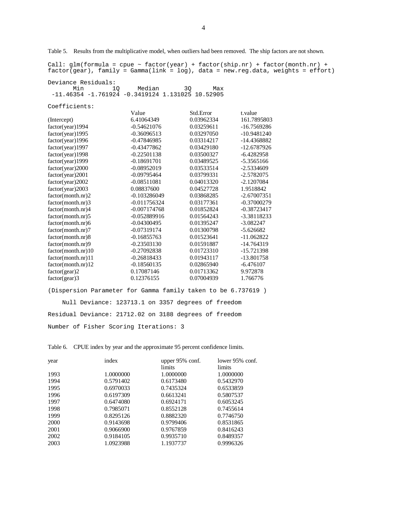Table 5. Results from the multiplicative model, when outliers had been removed. The ship factors are not shown.

Call:  $glm(formula = cque ~ factor(year) + factor(ship.nr) + factor(month.nr) +$ factor(gear), family = Gamma(link = log), data = new.reg.data, weights = effort)

Deviance Residuals: Min 1Q Median 3Q Max -11.46354 -1.761924 -0.3419124 1.131025 10.52905

Coefficients:

|                    | Value          | Std.Error  | t.value       |
|--------------------|----------------|------------|---------------|
| (Intercept)        | 6.41064349     | 0.03962334 | 161.7895803   |
| factor(year)1994   | $-0.54621076$  | 0.03259611 | -16.7569286   |
| factor(year)1995   | $-0.36096513$  | 0.03297050 | $-10.9481240$ |
| factor(year)1996   | $-0.47846985$  | 0.03314217 | -14.4368882   |
| factor(year)1997   | $-0.43477862$  | 0.03429180 | -12.6787926   |
| factor(year)1998   | $-0.22501138$  | 0.03500327 | $-6.4282958$  |
| factor(year)1999   | $-0.18691701$  | 0.03489525 | -5.3565166    |
| factor(year) 2000  | $-0.08952019$  | 0.03533514 | $-2.5334609$  |
| factor(year)2001   | $-0.09795464$  | 0.03799331 | $-2.5782075$  |
| factor (year) 2002 | $-0.08511081$  | 0.04013320 | $-2.1207084$  |
| factor(year)2003   | 0.08837600     | 0.04527728 | 1.9518842     |
| factor(month.nr)2  | $-0.103286049$ | 0.03868285 | $-2.67007351$ |
| factor(month.nr)3  | $-0.011756324$ | 0.03177361 | $-0.37000279$ |
| factor(month.nr)4  | $-0.007174768$ | 0.01852824 | $-0.38723417$ |
| factor(month.nr)5  | $-0.052889916$ | 0.01564243 | -3.38118233   |
| factor(month.nr)6  | $-0.04300495$  | 0.01395247 | $-3.082247$   |
| factor(month.nr)7  | $-0.07319174$  | 0.01300798 | $-5.626682$   |
| factor(month.nr)8  | $-0.16855763$  | 0.01523641 | $-11.062822$  |
| factor(month.nr)9  | $-0.23503130$  | 0.01591887 | $-14.764319$  |
| factor(month.nr)10 | $-0.27092838$  | 0.01723310 | -15.721398    |
| factor(month.nr)11 | $-0.26818433$  | 0.01943117 | -13.801758    |
| factor(month.nr)12 | $-0.18560135$  | 0.02865940 | $-6.476107$   |
| factor(gear)2      | 0.17087146     | 0.01713362 | 9.972878      |
| factor(gear)3      | 0.12376155     | 0.07004939 | 1.766776      |

(Dispersion Parameter for Gamma family taken to be 6.737619 ) Null Deviance: 123713.1 on 3357 degrees of freedom Residual Deviance: 21712.02 on 3188 degrees of freedom Number of Fisher Scoring Iterations: 3

Table 6. CPUE index by year and the approximate 95 percent confidence limits.

| year | index     | upper 95% conf. | lower 95% conf. |
|------|-----------|-----------------|-----------------|
|      |           | limits          | limits          |
| 1993 | 1.0000000 | 1.0000000       | 1.0000000       |
| 1994 | 0.5791402 | 0.6173480       | 0.5432970       |
| 1995 | 0.6970033 | 0.7435324       | 0.6533859       |
| 1996 | 0.6197309 | 0.6613241       | 0.5807537       |
| 1997 | 0.6474080 | 0.6924171       | 0.6053245       |
| 1998 | 0.7985071 | 0.8552128       | 0.7455614       |
| 1999 | 0.8295126 | 0.8882320       | 0.7746750       |
| 2000 | 0.9143698 | 0.9799406       | 0.8531865       |
| 2001 | 0.9066900 | 0.9767859       | 0.8416243       |
| 2002 | 0.9184105 | 0.9935710       | 0.8489357       |
| 2003 | 1.0923988 | 1.1937737       | 0.9996326       |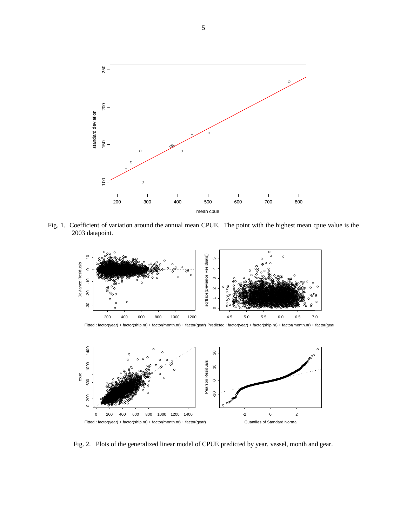

Fig. 1.Coefficient of variation around the annual mean CPUE. The point with the highest mean cpue value is the 2003 datapoint.







Fig. 2.Plots of the generalized linear model of CPUE predicted by year, vessel, month and gear.